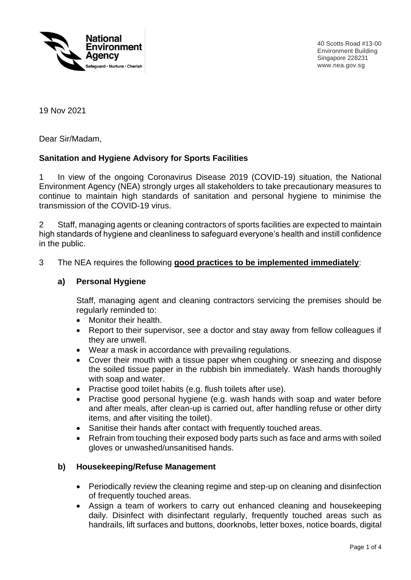

40 Scotts Road #13-00 Environment Building Singapore 228231 www.nea.gov.sg

19 Nov 2021

Dear Sir/Madam,

## **Sanitation and Hygiene Advisory for Sports Facilities**

1 In view of the ongoing Coronavirus Disease 2019 (COVID-19) situation, the National Environment Agency (NEA) strongly urges all stakeholders to take precautionary measures to continue to maintain high standards of sanitation and personal hygiene to minimise the transmission of the COVID-19 virus.

2 Staff, managing agents or cleaning contractors of sports facilities are expected to maintain high standards of hygiene and cleanliness to safeguard everyone's health and instill confidence in the public.

### 3 The NEA requires the following **good practices to be implemented immediately**:

#### **a) Personal Hygiene**

Staff, managing agent and cleaning contractors servicing the premises should be regularly reminded to:

- Monitor their health.
- Report to their supervisor, see a doctor and stay away from fellow colleagues if they are unwell.
- Wear a mask in accordance with prevailing regulations.
- Cover their mouth with a tissue paper when coughing or sneezing and dispose the soiled tissue paper in the rubbish bin immediately. Wash hands thoroughly with soap and water.
- Practise good toilet habits (e.g. flush toilets after use).
- Practise good personal hygiene (e.g. wash hands with soap and water before and after meals, after clean-up is carried out, after handling refuse or other dirty items, and after visiting the toilet).
- Sanitise their hands after contact with frequently touched areas.
- Refrain from touching their exposed body parts such as face and arms with soiled gloves or unwashed/unsanitised hands.

#### **b) Housekeeping/Refuse Management**

- Periodically review the cleaning regime and step-up on cleaning and disinfection of frequently touched areas.
- Assign a team of workers to carry out enhanced cleaning and housekeeping daily. Disinfect with disinfectant regularly, frequently touched areas such as handrails, lift surfaces and buttons, doorknobs, letter boxes, notice boards, digital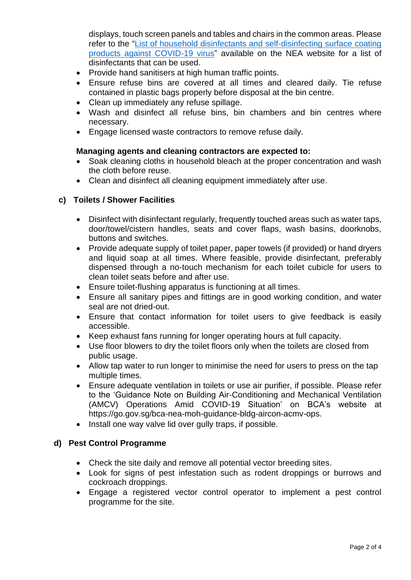displays, touch screen panels and tables and chairs in the common areas. Please refer to the ["List of household disinfectants and self-disinfecting surface coating](https://www.nea.gov.sg/our-services/public-cleanliness/environmental-cleaning-guidelines/guidelines/list-of-household-products-and-active-ingredients-for-disinfection-of-covid-19)  [products against COVID-19 virus"](https://www.nea.gov.sg/our-services/public-cleanliness/environmental-cleaning-guidelines/guidelines/list-of-household-products-and-active-ingredients-for-disinfection-of-covid-19) available on the NEA website for a list of disinfectants that can be used.

- Provide hand sanitisers at high human traffic points.
- Ensure refuse bins are covered at all times and cleared daily. Tie refuse contained in plastic bags properly before disposal at the bin centre.
- Clean up immediately any refuse spillage.
- Wash and disinfect all refuse bins, bin chambers and bin centres where necessary.
- Engage licensed waste contractors to remove refuse daily.

### **Managing agents and cleaning contractors are expected to:**

- Soak cleaning cloths in household bleach at the proper concentration and wash the cloth before reuse.
- Clean and disinfect all cleaning equipment immediately after use.

### **c) Toilets / Shower Facilities**

- Disinfect with disinfectant regularly, frequently touched areas such as water taps, door/towel/cistern handles, seats and cover flaps, wash basins, doorknobs, buttons and switches.
- Provide adequate supply of toilet paper, paper towels (if provided) or hand dryers and liquid soap at all times. Where feasible, provide disinfectant, preferably dispensed through a no-touch mechanism for each toilet cubicle for users to clean toilet seats before and after use.
- Ensure toilet-flushing apparatus is functioning at all times.
- Ensure all sanitary pipes and fittings are in good working condition, and water seal are not dried-out.
- Ensure that contact information for toilet users to give feedback is easily accessible.
- Keep exhaust fans running for longer operating hours at full capacity.
- Use floor blowers to dry the toilet floors only when the toilets are closed from public usage.
- Allow tap water to run longer to minimise the need for users to press on the tap multiple times.
- Ensure adequate ventilation in toilets or use air purifier, if possible. Please refer to the 'Guidance Note on Building Air-Conditioning and Mechanical Ventilation (AMCV) Operations Amid COVID-19 Situation' on BCA's website at https://go.gov.sg/bca-nea-moh-guidance-bldg-aircon-acmv-ops.
- Install one way valve lid over gully traps, if possible.

### **d) Pest Control Programme**

- Check the site daily and remove all potential vector breeding sites.
- Look for signs of pest infestation such as rodent droppings or burrows and cockroach droppings.
- Engage a registered vector control operator to implement a pest control programme for the site.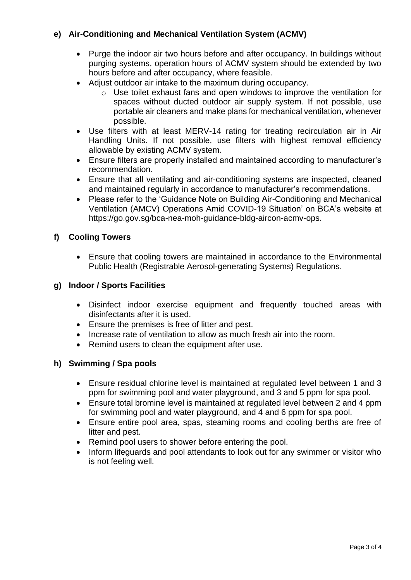# **e) Air-Conditioning and Mechanical Ventilation System (ACMV)**

- Purge the indoor air two hours before and after occupancy. In buildings without purging systems, operation hours of ACMV system should be extended by two hours before and after occupancy, where feasible.
- Adjust outdoor air intake to the maximum during occupancy.
	- $\circ$  Use toilet exhaust fans and open windows to improve the ventilation for spaces without ducted outdoor air supply system. If not possible, use portable air cleaners and make plans for mechanical ventilation, whenever possible.
- Use filters with at least MERV-14 rating for treating recirculation air in Air Handling Units. If not possible, use filters with highest removal efficiency allowable by existing ACMV system.
- Ensure filters are properly installed and maintained according to manufacturer's recommendation.
- Ensure that all ventilating and air-conditioning systems are inspected, cleaned and maintained regularly in accordance to manufacturer's recommendations.
- Please refer to the 'Guidance Note on Building Air-Conditioning and Mechanical Ventilation (AMCV) Operations Amid COVID-19 Situation' on BCA's website at https://go.gov.sg/bca-nea-moh-guidance-bldg-aircon-acmv-ops.

## **f) Cooling Towers**

• Ensure that cooling towers are maintained in accordance to the Environmental Public Health (Registrable Aerosol-generating Systems) Regulations.

### **g) Indoor / Sports Facilities**

- Disinfect indoor exercise equipment and frequently touched areas with disinfectants after it is used.
- Ensure the premises is free of litter and pest.
- Increase rate of ventilation to allow as much fresh air into the room.
- Remind users to clean the equipment after use.

### **h) Swimming / Spa pools**

- Ensure residual chlorine level is maintained at regulated level between 1 and 3 ppm for swimming pool and water playground, and 3 and 5 ppm for spa pool.
- Ensure total bromine level is maintained at regulated level between 2 and 4 ppm for swimming pool and water playground, and 4 and 6 ppm for spa pool.
- Ensure entire pool area, spas, steaming rooms and cooling berths are free of litter and pest.
- Remind pool users to shower before entering the pool.
- Inform lifeguards and pool attendants to look out for any swimmer or visitor who is not feeling well.